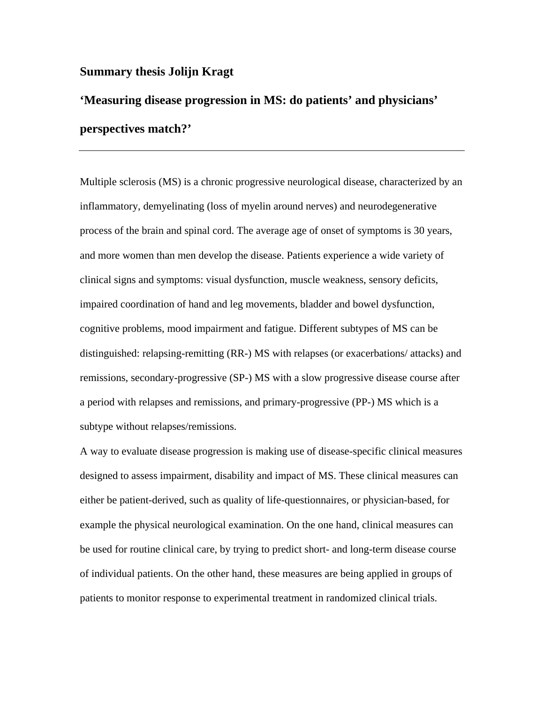## **Summary thesis Jolijn Kragt**

## **'Measuring disease progression in MS: do patients' and physicians' perspectives match?'**

Multiple sclerosis (MS) is a chronic progressive neurological disease, characterized by an inflammatory, demyelinating (loss of myelin around nerves) and neurodegenerative process of the brain and spinal cord. The average age of onset of symptoms is 30 years, and more women than men develop the disease. Patients experience a wide variety of clinical signs and symptoms: visual dysfunction, muscle weakness, sensory deficits, impaired coordination of hand and leg movements, bladder and bowel dysfunction, cognitive problems, mood impairment and fatigue. Different subtypes of MS can be distinguished: relapsing-remitting (RR-) MS with relapses (or exacerbations/ attacks) and remissions, secondary-progressive (SP-) MS with a slow progressive disease course after a period with relapses and remissions, and primary-progressive (PP-) MS which is a subtype without relapses/remissions.

A way to evaluate disease progression is making use of disease-specific clinical measures designed to assess impairment, disability and impact of MS. These clinical measures can either be patient-derived, such as quality of life-questionnaires, or physician-based, for example the physical neurological examination. On the one hand, clinical measures can be used for routine clinical care, by trying to predict short- and long-term disease course of individual patients. On the other hand, these measures are being applied in groups of patients to monitor response to experimental treatment in randomized clinical trials.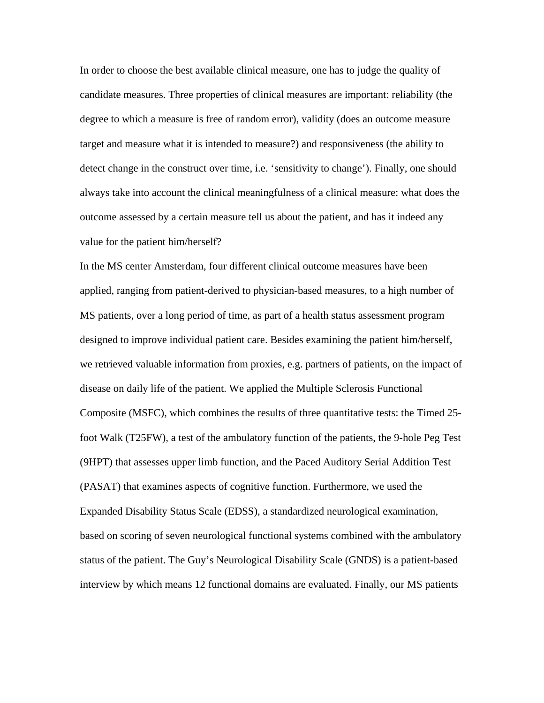In order to choose the best available clinical measure, one has to judge the quality of candidate measures. Three properties of clinical measures are important: reliability (the degree to which a measure is free of random error), validity (does an outcome measure target and measure what it is intended to measure?) and responsiveness (the ability to detect change in the construct over time, i.e. 'sensitivity to change'). Finally, one should always take into account the clinical meaningfulness of a clinical measure: what does the outcome assessed by a certain measure tell us about the patient, and has it indeed any value for the patient him/herself?

In the MS center Amsterdam, four different clinical outcome measures have been applied, ranging from patient-derived to physician-based measures, to a high number of MS patients, over a long period of time, as part of a health status assessment program designed to improve individual patient care. Besides examining the patient him/herself, we retrieved valuable information from proxies, e.g. partners of patients, on the impact of disease on daily life of the patient. We applied the Multiple Sclerosis Functional Composite (MSFC), which combines the results of three quantitative tests: the Timed 25 foot Walk (T25FW), a test of the ambulatory function of the patients, the 9-hole Peg Test (9HPT) that assesses upper limb function, and the Paced Auditory Serial Addition Test (PASAT) that examines aspects of cognitive function. Furthermore, we used the Expanded Disability Status Scale (EDSS), a standardized neurological examination, based on scoring of seven neurological functional systems combined with the ambulatory status of the patient. The Guy's Neurological Disability Scale (GNDS) is a patient-based interview by which means 12 functional domains are evaluated. Finally, our MS patients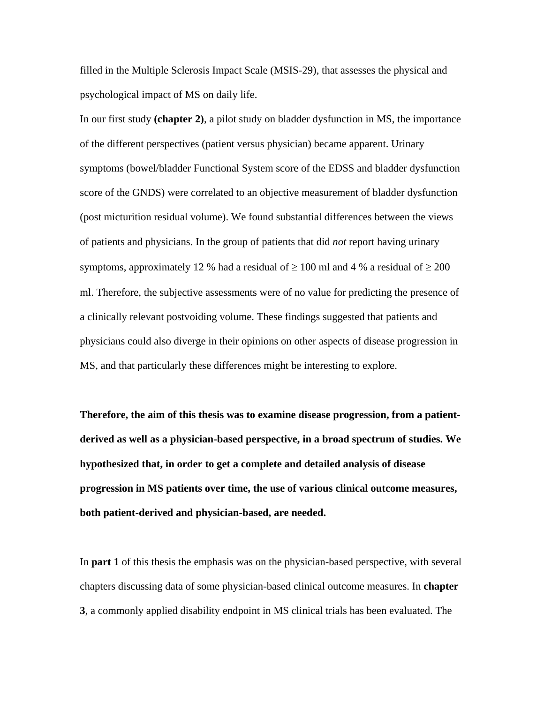filled in the Multiple Sclerosis Impact Scale (MSIS-29), that assesses the physical and psychological impact of MS on daily life.

In our first study **(chapter 2)**, a pilot study on bladder dysfunction in MS, the importance of the different perspectives (patient versus physician) became apparent. Urinary symptoms (bowel/bladder Functional System score of the EDSS and bladder dysfunction score of the GNDS) were correlated to an objective measurement of bladder dysfunction (post micturition residual volume). We found substantial differences between the views of patients and physicians. In the group of patients that did *not* report having urinary symptoms, approximately 12 % had a residual of  $\geq 100$  ml and 4 % a residual of  $\geq 200$ ml. Therefore, the subjective assessments were of no value for predicting the presence of a clinically relevant postvoiding volume. These findings suggested that patients and physicians could also diverge in their opinions on other aspects of disease progression in MS, and that particularly these differences might be interesting to explore.

**Therefore, the aim of this thesis was to examine disease progression, from a patientderived as well as a physician-based perspective, in a broad spectrum of studies. We hypothesized that, in order to get a complete and detailed analysis of disease progression in MS patients over time, the use of various clinical outcome measures, both patient-derived and physician-based, are needed.**

In **part 1** of this thesis the emphasis was on the physician-based perspective, with several chapters discussing data of some physician-based clinical outcome measures. In **chapter 3**, a commonly applied disability endpoint in MS clinical trials has been evaluated. The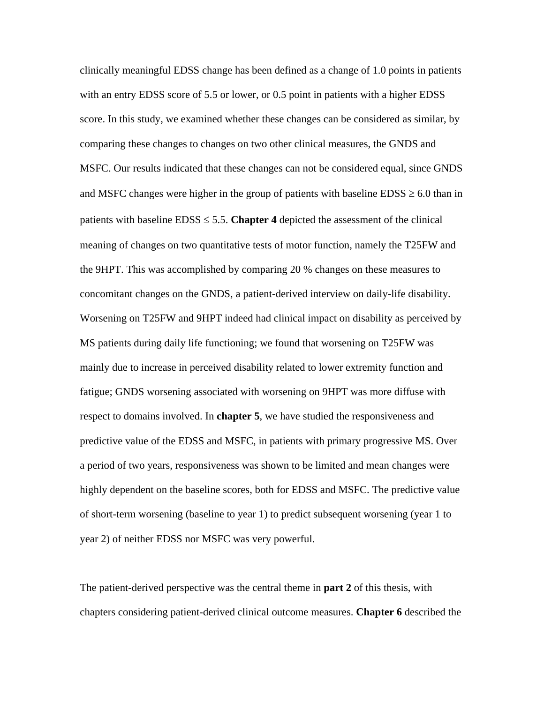clinically meaningful EDSS change has been defined as a change of 1.0 points in patients with an entry EDSS score of 5.5 or lower, or 0.5 point in patients with a higher EDSS score. In this study, we examined whether these changes can be considered as similar, by comparing these changes to changes on two other clinical measures, the GNDS and MSFC. Our results indicated that these changes can not be considered equal, since GNDS and MSFC changes were higher in the group of patients with baseline  $EDSS \ge 6.0$  than in patients with baseline  $EDSS \le 5.5$ . **Chapter 4** depicted the assessment of the clinical meaning of changes on two quantitative tests of motor function, namely the T25FW and the 9HPT. This was accomplished by comparing 20 % changes on these measures to concomitant changes on the GNDS, a patient-derived interview on daily-life disability. Worsening on T25FW and 9HPT indeed had clinical impact on disability as perceived by MS patients during daily life functioning; we found that worsening on T25FW was mainly due to increase in perceived disability related to lower extremity function and fatigue; GNDS worsening associated with worsening on 9HPT was more diffuse with respect to domains involved. In **chapter 5**, we have studied the responsiveness and predictive value of the EDSS and MSFC, in patients with primary progressive MS. Over a period of two years, responsiveness was shown to be limited and mean changes were highly dependent on the baseline scores, both for EDSS and MSFC. The predictive value of short-term worsening (baseline to year 1) to predict subsequent worsening (year 1 to year 2) of neither EDSS nor MSFC was very powerful.

The patient-derived perspective was the central theme in **part 2** of this thesis, with chapters considering patient-derived clinical outcome measures. **Chapter 6** described the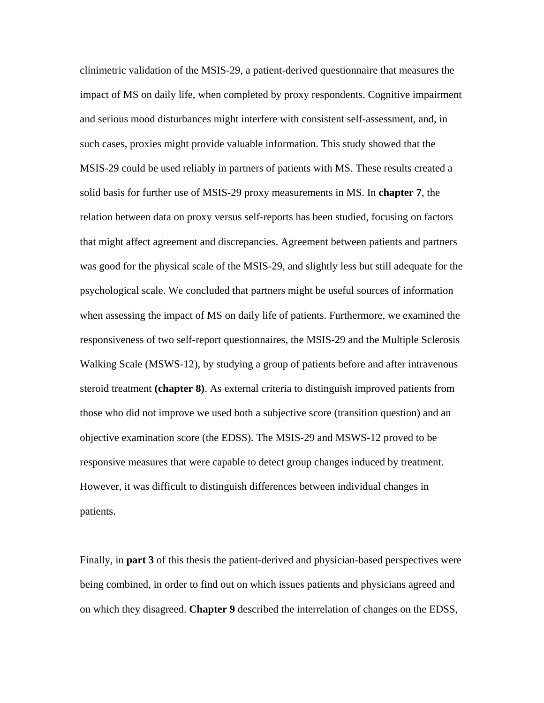clinimetric validation of the MSIS-29, a patient-derived questionnaire that measures the impact of MS on daily life, when completed by proxy respondents. Cognitive impairment and serious mood disturbances might interfere with consistent self-assessment, and, in such cases, proxies might provide valuable information. This study showed that the MSIS-29 could be used reliably in partners of patients with MS. These results created a solid basis for further use of MSIS-29 proxy measurements in MS. In **chapter 7**, the relation between data on proxy versus self-reports has been studied, focusing on factors that might affect agreement and discrepancies. Agreement between patients and partners was good for the physical scale of the MSIS-29, and slightly less but still adequate for the psychological scale. We concluded that partners might be useful sources of information when assessing the impact of MS on daily life of patients. Furthermore, we examined the responsiveness of two self-report questionnaires, the MSIS-29 and the Multiple Sclerosis Walking Scale (MSWS-12), by studying a group of patients before and after intravenous steroid treatment **(chapter 8)**. As external criteria to distinguish improved patients from those who did not improve we used both a subjective score (transition question) and an objective examination score (the EDSS). The MSIS-29 and MSWS-12 proved to be responsive measures that were capable to detect group changes induced by treatment. However, it was difficult to distinguish differences between individual changes in patients.

Finally, in **part 3** of this thesis the patient-derived and physician-based perspectives were being combined, in order to find out on which issues patients and physicians agreed and on which they disagreed. **Chapter 9** described the interrelation of changes on the EDSS,